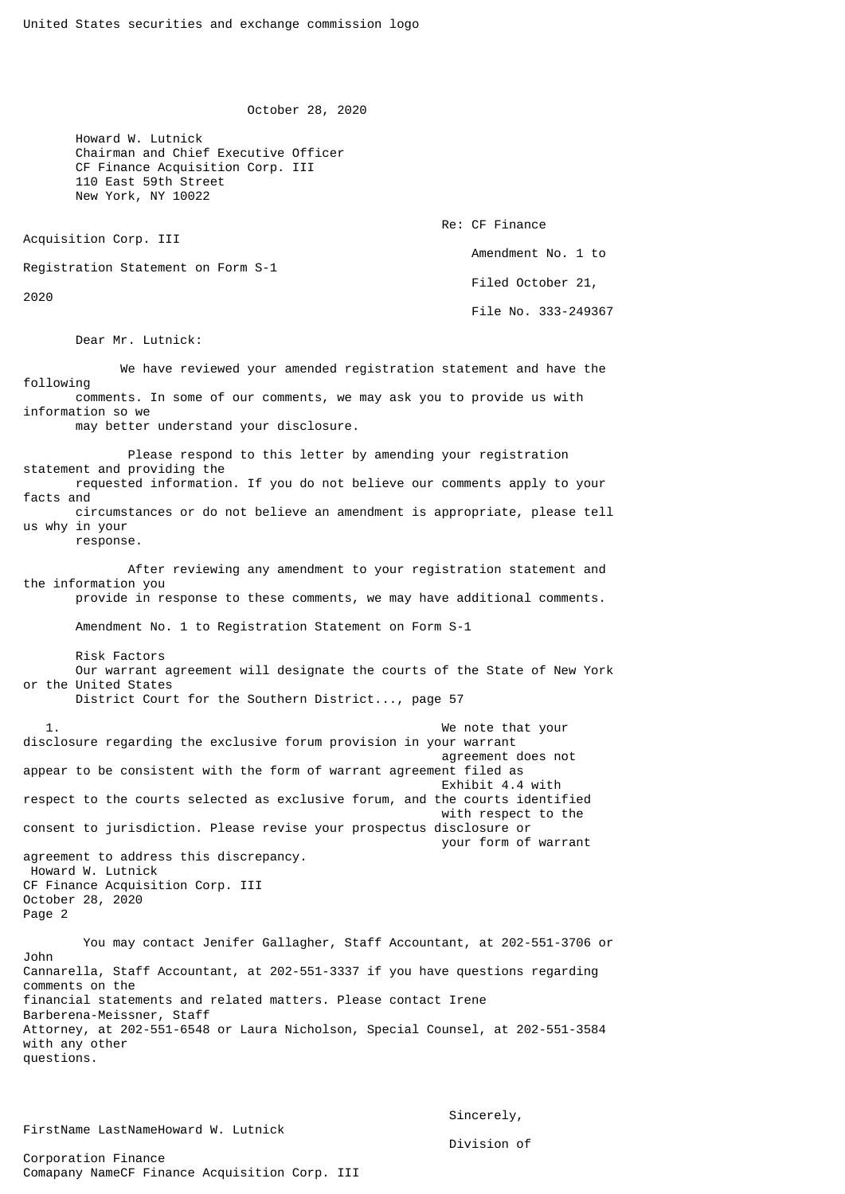October 28, 2020

 Howard W. Lutnick Chairman and Chief Executive Officer CF Finance Acquisition Corp. III 110 East 59th Street New York, NY 10022

Acquisition Corp. III

Re: CF Finance

Amendment No. 1 to

Registration Statement on Form S-1

2020

 Filed October 21, File No. 333-249367

Dear Mr. Lutnick:

 We have reviewed your amended registration statement and have the following comments. In some of our comments, we may ask you to provide us with information so we

may better understand your disclosure.

 Please respond to this letter by amending your registration statement and providing the requested information. If you do not believe our comments apply to your facts and circumstances or do not believe an amendment is appropriate, please tell us why in your response.

 After reviewing any amendment to your registration statement and the information you provide in response to these comments, we may have additional comments.

Amendment No. 1 to Registration Statement on Form S-1

Risk Factors

 Our warrant agreement will designate the courts of the State of New York or the United States

District Court for the Southern District..., page 57

 1. We note that your disclosure regarding the exclusive forum provision in your warrant agreement does not appear to be consistent with the form of warrant agreement filed as Exhibit 4.4 with respect to the courts selected as exclusive forum, and the courts identified with respect to the consent to jurisdiction. Please revise your prospectus disclosure or your form of warrant agreement to address this discrepancy. Howard W. Lutnick CF Finance Acquisition Corp. III October 28, 2020

Page 2

 You may contact Jenifer Gallagher, Staff Accountant, at 202-551-3706 or John Cannarella, Staff Accountant, at 202-551-3337 if you have questions regarding comments on the financial statements and related matters. Please contact Irene Barberena-Meissner, Staff Attorney, at 202-551-6548 or Laura Nicholson, Special Counsel, at 202-551-3584 with any other questions.

FirstName LastNameHoward W. Lutnick

 Sincerely, Division of

Corporation Finance Comapany NameCF Finance Acquisition Corp. III